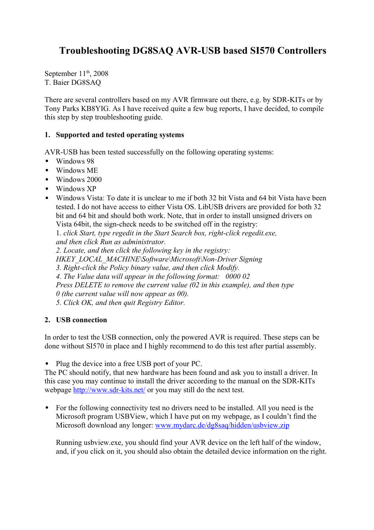# **Troubleshooting DG8SAQ AVR-USB based SI570 Controllers**

September  $11<sup>th</sup>$ , 2008 T. Baier DG8SAQ

There are several controllers based on my AVR firmware out there, e.g. by SDR-KITs or by Tony Parks KB8YIG. As I have received quite a few bug reports, I have decided, to compile this step by step troubleshooting guide.

### **1. Supported and tested operating systems**

AVR-USB has been tested successfully on the following operating systems:

- Windows 98
- Windows ME
- Windows 2000
- Windows XP
- Windows Vista: To date it is unclear to me if both 32 bit Vista and 64 bit Vista have been tested. I do not have access to either Vista OS. LibUSB drivers are provided for both 32 bit and 64 bit and should both work. Note, that in order to install unsigned drivers on Vista 64bit, the sign-check needs to be switched off in the registry:

1. *click Start, type regedit in the Start Search box, right-click regedit.exe, and then click Run as administrator.*

*2. Locate, and then click the following key in the registry:*

*HKEY\_LOCAL\_MACHINE\Software\Microsoft\Non-Driver Signing*

*3. Right-click the Policy binary value, and then click Modify.*

*4. The Value data will appear in the following format: 0000 02*

*Press DELETE to remove the current value (02 in this example), and then type*

*0 (the current value will now appear as 00).*

*5. Click OK, and then quit Registry Editor.*

#### **2. USB connection**

In order to test the USB connection, only the powered AVR is required. These steps can be done without SI570 in place and I highly recommend to do this test after partial assembly.

• Plug the device into a free USB port of your PC.

The PC should notify, that new hardware has been found and ask you to install a driver. In this case you may continue to install the driver according to the manual on the SDR-KITs webpage<http://www.sdr-kits.net/>or you may still do the next test.

• For the following connectivity test no drivers need to be installed. All you need is the Microsoft program USBView, which I have put on my webpage, as I couldn't find the Microsoft download any longer: [www.mydarc.de/dg8saq/hidden/usbview.zip](http://www.mydarc.de/dg8saq/hidden/usbview.zip)

Running usbview.exe, you should find your AVR device on the left half of the window, and, if you click on it, you should also obtain the detailed device information on the right.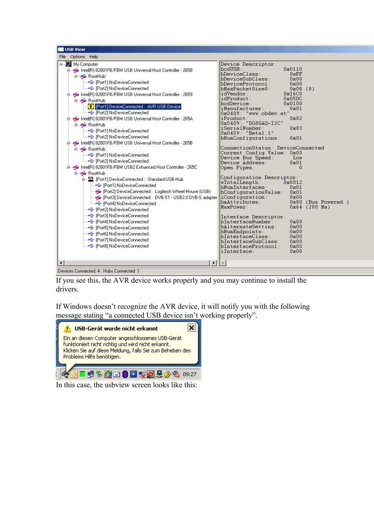| USB View                                                                                                                                                                                                                                                                                                                                            |                                                                                                                                                                                                                                            |
|-----------------------------------------------------------------------------------------------------------------------------------------------------------------------------------------------------------------------------------------------------------------------------------------------------------------------------------------------------|--------------------------------------------------------------------------------------------------------------------------------------------------------------------------------------------------------------------------------------------|
| File Options Help                                                                                                                                                                                                                                                                                                                                   |                                                                                                                                                                                                                                            |
| ⊟ <sup></sup> My Computer<br>intel(R) 82801FB/FBM USB Universal Host Controller - 2658<br><b>E</b> RootHub<br>— <del>C</del> [Port1] NoDeviceConnected<br>ं—• <del>€</del> [Port2] NoDeviceConnected<br>白…<br>intel(R) 82801FB/FBM USB Universal Host Controller - 2659<br><b>E</b> RootHub<br><b>(!)</b> [Port1] DeviceConnected : AVR USB Device] | Device Descriptor:<br>$\mathtt{bcdUSE}$ :<br>0x0110<br>bDeviceClass:<br>0xFF<br>bDeviceSubClass:<br>0x00<br>bDeviceProtocol:<br>0x00<br>bMaxPacketSize0:<br>0x08(8)<br>idVendor:<br>0x16C0<br>idProduct:<br>0x05DC<br>bodDevice:<br>0x0100 |
| ं—• <del>€</del> [Port2] NoDeviceConnected<br>白… < Intel(R) 82801FB/FBM USB Universal Host Controller - 265A<br><b>E</b> RootHub<br>- General NoDeviceConnected<br>ै—• [Port2] NoDeviceConnected                                                                                                                                                    | iManufacturer:<br>0x01<br>$0x0409$ : "www.obdev.at"<br>iProduct:<br>0x02<br>0x0409: "DG8SAQ-I2C"<br>iSerialNumber:<br>$0 \times 03$<br>0x0409: "Beta1.1"<br>bNumConfigurations:<br>$0 \times 01$                                           |
| id <a>→ Intel(R) 82801FB/FBM USB Universal Host Controller - 265B<br/><b>E</b> RootHub<br/>ं—•<del>€</del> [Port2] NoDeviceConnected<br/>白… <br/>intel(R) 82801FB/FBM USB2 Enhanced Host Controller - 265C<br/><b>E</b> RootHub</a>                                                                                                                 | ConnectionStatus: DeviceConnected<br>Current Config Value: 0x00<br>Device Bus Speed:<br>- Low<br>Device Address:<br>0x01<br>Open Pipes:<br>0                                                                                               |
| - !!!!! [Port1] DeviceConnected : Standard-USB-Hub<br>— <del>•</del> [Port1] NoDeviceConnected<br>├─ 全 [Port2] DeviceConnected : Logitech Wheel Mouse (USB)<br>Port3] DeviceConnected : DVB-S1 - USB2.0 DVB-S adapter<br>ै—• (Port4) NoDeviceConnected<br>— <del>•</del> [Port2] NoDeviceConnected                                                  | Configuration Descriptor:<br>$\verb wTotalLength :$<br>0x0012<br>bNumInterfaces: .<br>0x01<br>bConfigurationValue:<br>0x01<br>0x00<br> iConfiguration:  <br>bmAttributes:<br>0x80 (Bus Powered)<br>MaxPower:<br>$0x64$ (200 Ma)            |
| — <del>•</del> [Port3] NoDeviceConnected<br>--- <del>- C</del> [Port4] NoDeviceConnected<br>--- <del>----</del> [Port5] NoDeviceConnected<br>— <del>&lt;</del> [Port7] NoDeviceConnected<br>ं— •⊖ [Port8] NoDeviceConnected                                                                                                                         | Interface Descriptor:<br>bInterfaceNumber:<br>0x00<br>bAlternateSetting:<br>0x00<br>bNumEndpoints:<br>0x00<br>bInterfaceClass:<br>0x00<br>bInterfaceSubClass:<br>0x00<br>${\tt blinterfacefrotocol}$ :<br>0x00<br>iInterface:<br>0x00      |
| $\blacktriangleleft$<br>$\blacktriangleright$<br>[Devices Connected: 4 Hubs Connected: 1                                                                                                                                                                                                                                                            |                                                                                                                                                                                                                                            |

If you see this, the AVR device works properly and you may continue to install the drivers.

If Windows doesn't recognize the AVR device, it will notify you with the following message stating "a connected USB device isn't working properly".



In this case, the usbview screen looks like this: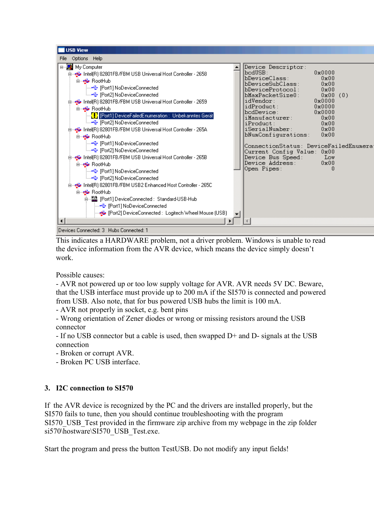

This indicates a HARDWARE problem, not a driver problem. Windows is unable to read the device information from the AVR device, which means the device simply doesn't work.

Possible causes:

- AVR not powered up or too low supply voltage for AVR. AVR needs 5V DC. Beware, that the USB interface must provide up to 200 mA if the SI570 is connected and powered from USB. Also note, that for bus powered USB hubs the limit is 100 mA.

- AVR not properly in socket, e.g. bent pins

- Wrong orientation of Zener diodes or wrong or missing resistors around the USB connector

- If no USB connector but a cable is used, then swapped D+ and D- signals at the USB connection

- Broken or corrupt AVR.
- Broken PC USB interface.

## **3. I2C connection to SI570**

If the AVR device is recognized by the PC and the drivers are installed properly, but the SI570 fails to tune, then you should continue troubleshooting with the program SI570 USB Test provided in the firmware zip archive from my webpage in the zip folder si570\hostware\SI570\_USB\_Test.exe.

Start the program and press the button TestUSB. Do not modify any input fields!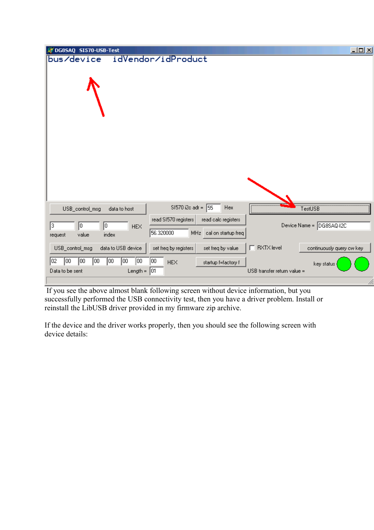| DG8SAQ SI570-USB-Test                                                                      |                                        |                             | $\Box$ ulxi               |
|--------------------------------------------------------------------------------------------|----------------------------------------|-----------------------------|---------------------------|
| idVendor/idProduct<br>bus/device                                                           |                                        |                             |                           |
|                                                                                            |                                        |                             |                           |
|                                                                                            |                                        |                             |                           |
|                                                                                            |                                        |                             |                           |
|                                                                                            |                                        |                             |                           |
|                                                                                            |                                        |                             |                           |
|                                                                                            |                                        |                             |                           |
|                                                                                            |                                        |                             |                           |
|                                                                                            |                                        |                             |                           |
|                                                                                            |                                        |                             |                           |
|                                                                                            |                                        |                             |                           |
|                                                                                            |                                        |                             |                           |
| USB_control_msg<br>data to host                                                            | SI570 i2c adr =<br>55<br>Hex           |                             | TestUSB                   |
| read SI570 registers                                                                       | read calc registers                    |                             |                           |
| $\sqrt{3}$<br>O)<br>10<br><b>HEX</b><br>56.320000<br>index<br>value                        | MH <sub>z</sub><br>cal on startup freq |                             | Device Name = DG8SAQ-I2C  |
| request                                                                                    |                                        |                             |                           |
| data to USB device<br>USB_control_msg<br>set freq by registers                             | set freq by value                      | $\Box$ RXTX level           | continuously query ow key |
| $\sqrt{100}$<br>$\sqrt{100}$<br>$\boxed{00}$<br>00<br>02<br>loo.<br>00<br>00<br><b>HEX</b> | startup f=factory f                    |                             | key status                |
| Length = $ 01$<br>Data to be sent                                                          |                                        | USB transfer return value = |                           |
|                                                                                            |                                        |                             | 11.                       |

 If you see the above almost blank following screen without device information, but you successfully performed the USB connectivity test, then you have a driver problem. Install or reinstall the LibUSB driver provided in my firmware zip archive.

If the device and the driver works properly, then you should see the following screen with device details: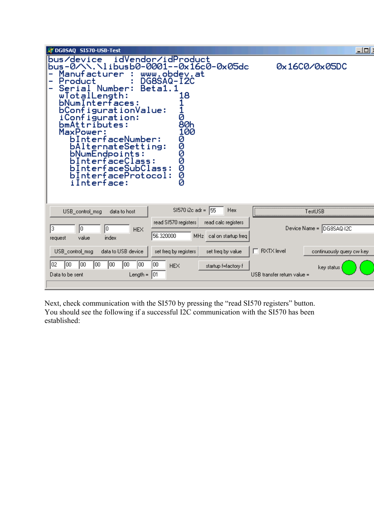| DG85A0 SI570-USB-Test                                                                                                                                                                                                                                                                                                                                                                                                                                               | <u>ا ات ات</u>                                 |
|---------------------------------------------------------------------------------------------------------------------------------------------------------------------------------------------------------------------------------------------------------------------------------------------------------------------------------------------------------------------------------------------------------------------------------------------------------------------|------------------------------------------------|
| idVendor/idProduct<br>bus/device<br>bus-0/\\.\libusb0-0001--0x16c0-0x05dc<br>Manufacturer<br>www.obdev.at<br>DG8SAQ-I2C<br>Product<br>Beta1.<br>Number:<br>Serial<br>8.<br>'otalLength:<br>wΙ<br>bNumInterfaces:<br>bConfigurationValue:<br>iConfiguration:<br>a<br>80h<br>bmAttributes:<br>MaxPower:<br>100<br>bInterfaceNumber:<br>000000<br>bAlternateSetting:<br>bNumEndpoints:<br>InterfaceClass:<br>bInterfaceSubClass:<br>bInterfaceProtocol:<br>iInterface: | 0x16C0/0x05DC                                  |
| SI570 i2c adr =<br>155<br><b>Hex</b><br>USB_control_msg<br>data to host                                                                                                                                                                                                                                                                                                                                                                                             | TestUSB                                        |
| read SI570 registers<br>read calc registers<br>3<br>Iо<br>10.<br><b>HEX</b><br>56.320000<br>MHz cal on startup freq<br>index<br>value<br>request                                                                                                                                                                                                                                                                                                                    | Device Name = DG8SAQ-I2C                       |
| data to USB device<br>USB_control_msg<br>set freq by registers<br>set freq by value                                                                                                                                                                                                                                                                                                                                                                                 | $\Box$ RXTX level<br>continuously query cw key |
| 00<br>100<br>00<br>00<br>102<br>100<br>00<br>ΩO<br><b>HEX</b><br>startup f=factory f<br>Length = $ 01$<br>Data to be sent                                                                                                                                                                                                                                                                                                                                           | key status<br>USB transfer return value =      |
|                                                                                                                                                                                                                                                                                                                                                                                                                                                                     |                                                |

Next, check communication with the SI570 by pressing the "read SI570 registers" button. You should see the following if a successful I2C communication with the SI570 has been established: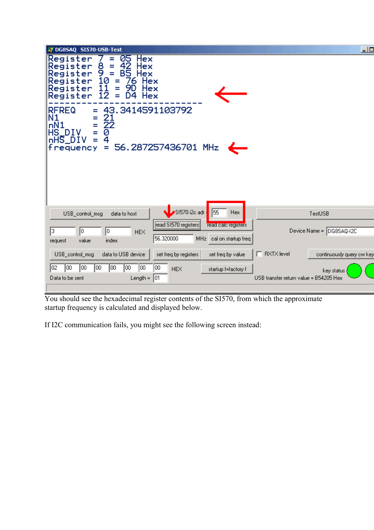

You should see the hexadecimal register contents of the SI570, from which the approximate startup frequency is calculated and displayed below.

If I2C communication fails, you might see the following screen instead: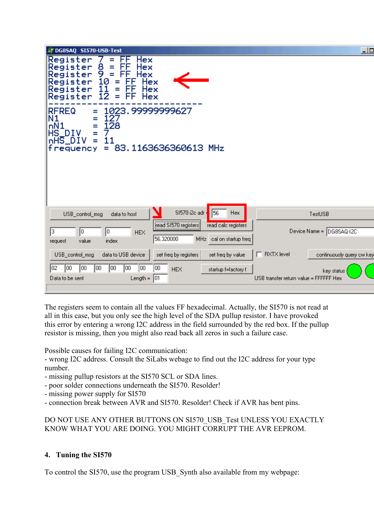| DG8SAQ SI570-USB-Test                                                                                                                                                                                   | $\square$                 |
|---------------------------------------------------------------------------------------------------------------------------------------------------------------------------------------------------------|---------------------------|
| Register<br>Ξ<br>Hex<br>8<br>10<br>10<br>Register<br>FF<br>Hex<br>Ξ<br>Register<br>$=$<br>FF<br>Hex<br>Register<br>F<br>Hex<br>Ξ<br>11<br>Ξ<br>Register<br>F<br>Hex<br>12<br>FF<br>Register<br>Ξ<br>Hex |                           |
| <b>RFREQ</b><br>1023.99999999627<br>=<br>Ν1<br>127<br>Ξ<br>128<br>nN1<br>Ξ<br>HS_DIV<br>Ξ<br>nHS_DIV<br>11<br>Ξ<br>83.1163636360613 MHz<br>f requency<br>Ξ                                              |                           |
|                                                                                                                                                                                                         |                           |
| SI570 i2c adr =<br>56<br><b>Hex</b><br>TestUSB<br>USB_control_msg<br>data to host                                                                                                                       |                           |
| read SI570 registers<br>read calc registers<br>Device Name = DG8SAQ-12C<br>13.<br>O)<br>10<br><b>HEX</b><br>56.320000<br>MHz cal on startup freq<br>value<br>index<br>request                           |                           |
| RXTX level<br>data to USB device<br>set freq by registers<br>USB_control_msg<br>set freq by value                                                                                                       | continuously query cw key |
| 00<br>100<br>102<br>lOO.<br>100<br>00<br>00<br>00<br><b>HEX</b><br>startup f=factory f<br>key status<br>Length = $ 01$<br>USB transfer return value = FFFFFF Hex<br>Data to be sent                     |                           |
|                                                                                                                                                                                                         |                           |

The registers seem to contain all the values FF hexadecimal. Actually, the SI570 is not read at all in this case, but you only see the high level of the SDA pullup resistor. I have provoked this error by entering a wrong I2C address in the field surrounded by the red box. If the pullup resistor is missing, then you might also read back all zeros in such a failure case.

Possible causes for failing I2C communication:

- wrong I2C address. Consult the SiLabs webage to find out the I2C address for your type number.

- missing pullup resistors at the SI570 SCL or SDA lines.
- poor solder connections underneath the SI570. Resolder!
- missing power supply for SI570
- connection break between AVR and SI570. Resolder! Check if AVR has bent pins.

DO NOT USE ANY OTHER BUTTONS ON SI570\_USB\_Test UNLESS YOU EXACTLY KNOW WHAT YOU ARE DOING. YOU MIGHT CORRUPT THE AVR EEPROM.

#### **4. Tuning the SI570**

To control the SI570, use the program USB\_Synth also available from my webpage: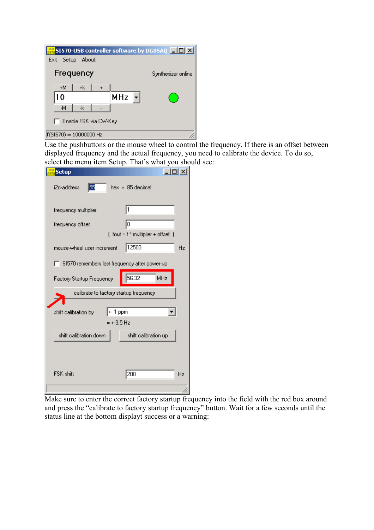| SI570-USB controller software by DG85AQ $\boxed{\blacksquare\boxtimes}$<br>Setup<br>About<br>Exit |                    |
|---------------------------------------------------------------------------------------------------|--------------------|
| Frequency                                                                                         | Synthesizer online |
| +М<br>+k<br>MHz<br>10                                                                             |                    |
| -M<br>-k<br>Enable FSK via CW-Key                                                                 |                    |
| $f(5I570) = 10000000$ Hz                                                                          |                    |

Use the pushbuttons or the mouse wheel to control the frequency. If there is an offset between displayed frequency and the actual frequency, you need to calibrate the device. To do so, select the menu item Setup. That's what you should see:

| <b>Setup</b>                                  | $ \Box$ $\times$                       |
|-----------------------------------------------|----------------------------------------|
| 55<br>i2c-address                             | $hex = 85$ decimal                     |
| frequency multiplier                          | 11                                     |
| frequency offset                              | 10                                     |
|                                               | $[$ fout = $f$ * multiplier + offset ] |
| mouse-wheel user increment                    | 12500<br>Hz                            |
| SI570 remembers last frequency after power-up |                                        |
| Factory Startup Frequency                     | 56.32<br>MHz                           |
| calibrate to factory startup frequency        |                                        |
|                                               |                                        |
| +- 1 ppm<br>shift calibration by              |                                        |
| $= +3.5$ Hz                                   |                                        |
| shift calibration down                        | shift calibration up                   |
|                                               |                                        |
|                                               |                                        |
| FSK shift                                     | 200<br>Hz                              |
|                                               |                                        |

Make sure to enter the correct factory startup frequency into the field with the red box around and press the "calibrate to factory startup frequency" button. Wait for a few seconds until the status line at the bottom displayt success or a warning: